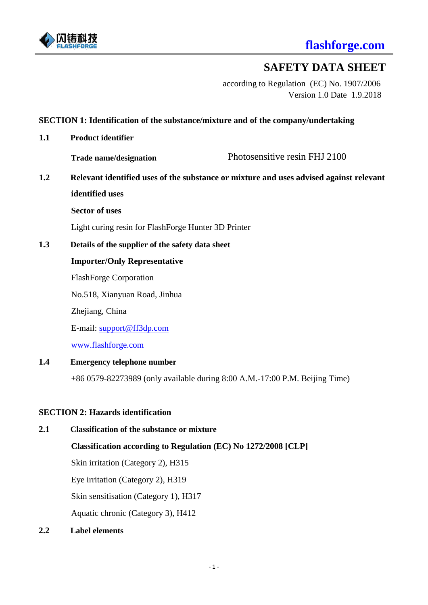

# **SAFETY DATA SHEET**

according to Regulation (EC) No. 1907/2006 Version 1.0 Date 1.9.2018

## **SECTION 1: Identification of the substance/mixture and of the company/undertaking**

**1.1 Product identifier** 

**Trade name/designation** Photosensitive resin FHJ 2100

**1.2 Relevant identified uses of the substance or mixture and uses advised against relevant identified uses**

**Sector of uses**

Light curing resin for FlashForge Hunter 3D Printer

**1.3 Details of the supplier of the safety data sheet**

#### **Importer/Only Representative**

FlashForge Corporation

No.518, Xianyuan Road, Jinhua

Zhejiang, China

E-mail: [support@ff3dp.com](mailto:support@ff3dp.com)

[www.flashforge.com](http://www.flashforge.com/)

#### **1.4 Emergency telephone number**

+86 0579-82273989 (only available during 8:00 A.M.-17:00 P.M. Beijing Time)

#### **SECTION 2: Hazards identification**

## **2.1 Classification of the substance or mixture**

## **Classification according to Regulation (EC) No 1272/2008 [CLP]**

Skin irritation (Category 2), H315

Eye irritation (Category 2), H319

Skin sensitisation (Category 1), H317

Aquatic chronic (Category 3), H412

#### **2.2 Label elements**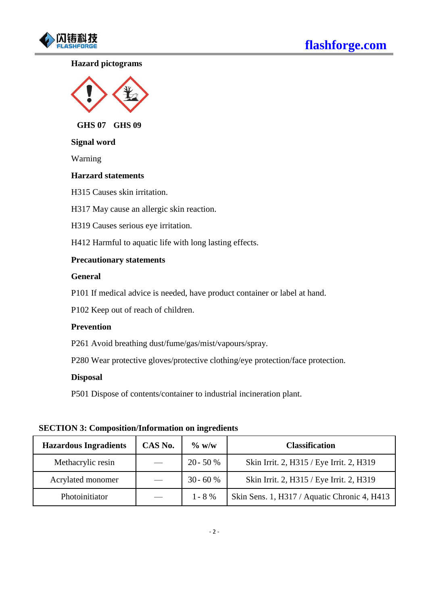

## **Hazard pictograms**



**ffGHS 07 GHS 09**

#### **Signal word**

Warning

#### **Harzard statements**

H315 Causes skin irritation.

H317 May cause an allergic skin reaction.

H319 Causes serious eye irritation.

H412 Harmful to aquatic life with long lasting effects.

## **Precautionary statements**

#### **General**

P101 If medical advice is needed, have product container or label at hand.

P102 Keep out of reach of children.

#### **Prevention**

P261 Avoid breathing dust/fume/gas/mist/vapours/spray.

P280 Wear protective gloves/protective clothing/eye protection/face protection.

## **Disposal**

P501 Dispose of contents/container to industrial incineration plant.

**SECTION 3: Composition/Information on ingredients**

| <b>Hazardous Ingradients</b> | CAS No.                  | $\%$ w/w   | <b>Classification</b>                        |
|------------------------------|--------------------------|------------|----------------------------------------------|
| Methacrylic resin            |                          | $20 - 50%$ | Skin Irrit. 2, H315 / Eye Irrit. 2, H319     |
| Acrylated monomer            | $\overline{\phantom{m}}$ | $30 - 60%$ | Skin Irrit. 2, H315 / Eye Irrit. 2, H319     |
| Photoinitiator               |                          | $1 - 8\%$  | Skin Sens. 1, H317 / Aquatic Chronic 4, H413 |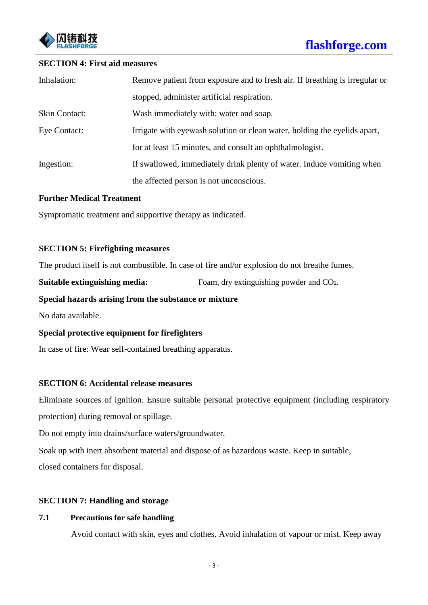

#### **SECTION 4: First aid measures**

| Inhalation:          | Remove patient from exposure and to fresh air. If breathing is irregular or |  |  |
|----------------------|-----------------------------------------------------------------------------|--|--|
|                      | stopped, administer artificial respiration.                                 |  |  |
| <b>Skin Contact:</b> | Wash immediately with: water and soap.                                      |  |  |
| Eye Contact:         | Irrigate with eyewash solution or clean water, holding the eyelids apart,   |  |  |
|                      | for at least 15 minutes, and consult an ophthalmologist.                    |  |  |
| Ingestion:           | If swallowed, immediately drink plenty of water. Induce vomiting when       |  |  |
|                      | the affected person is not unconscious.                                     |  |  |

#### **Further Medical Treatment**

Symptomatic treatment and supportive therapy as indicated.

#### **SECTION 5: Firefighting measures**

The product itself is not combustible. In case of fire and/or explosion do not breathe fumes.

**Suitable extinguishing media:** Foam, dry extinguishing powder and CO2.

### **Special hazards arising from the substance or mixture**

No data available.

## **Special protective equipment for firefighters**

In case of fire: Wear self-contained breathing apparatus.

## **SECTION 6: Accidental release measures**

Eliminate sources of ignition. Ensure suitable personal protective equipment (including respiratory protection) during removal or spillage.

Do not empty into drains/surface waters/groundwater.

Soak up with inert absorbent material and dispose of as hazardous waste. Keep in suitable,

closed containers for disposal.

## **SECTION 7: Handling and storage**

## **7.1 Precautions for safe handling**

Avoid contact with skin, eyes and clothes. Avoid inhalation of vapour or mist. Keep away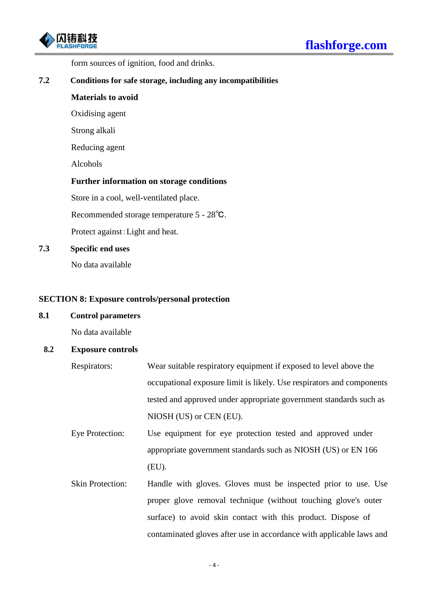

form sources of ignition, food and drinks.

#### **7.2 Conditions for safe storage, including any incompatibilities**

#### **Materials to avoid**

Oxidising agent

Strong alkali

Reducing agent

Alcohols

#### **Further information on storage conditions**

Store in a cool, well-ventilated place.

Recommended storage temperature 5 - 28℃.

Protect against:Light and heat.

#### **7.3 Specific end uses**

No data available

### **SECTION 8: Exposure controls/personal protection**

#### **8.1 Control parameters**

No data available

#### **8.2 Exposure controls**

- Respirators: Wear suitable respiratory equipment if exposed to level above the occupational exposure limit is likely. Use respirators and components tested and approved under appropriate government standards such as NIOSH (US) or CEN (EU).
- Eye Protection: Use equipment for eye protection tested and approved under appropriate government standards such as NIOSH (US) or EN 166 (EU).
- Skin Protection: Handle with gloves. Gloves must be inspected prior to use. Use proper glove removal technique (without touching glove's outer surface) to avoid skin contact with this product. Dispose of contaminated gloves after use in accordance with applicable laws and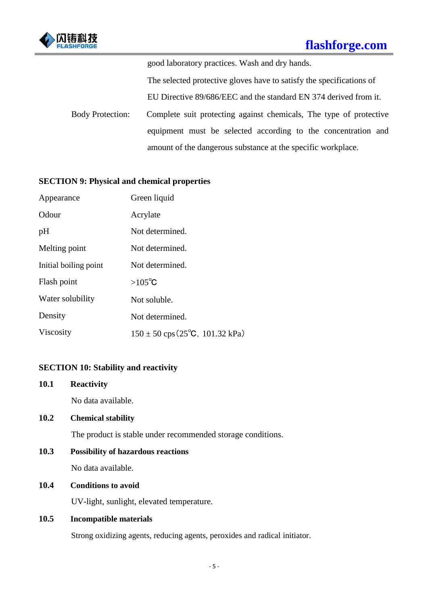

good laboratory practices. Wash and dry hands.

The selected protective gloves have to satisfy the specifications of

EU Directive 89/686/EEC and the standard EN 374 derived from it.

Body Protection: Complete suit protecting against chemicals, The type of protective equipment must be selected according to the concentration and amount of the dangerous substance at the specific workplace.

## **SECTION 9: Physical and chemical properties**

| Appearance            | Green liquid                                     |
|-----------------------|--------------------------------------------------|
| Odour                 | Acrylate                                         |
| pH                    | Not determined.                                  |
| Melting point         | Not determined.                                  |
| Initial boiling point | Not determined.                                  |
| Flash point           | $>105^{\circ}C$                                  |
| Water solubility      | Not soluble.                                     |
| Density               | Not determined.                                  |
| Viscosity             | $150 \pm 50$ cps (25 <sup>o</sup> C, 101.32 kPa) |

## **SECTION 10: Stability and reactivity**

**10.1 Reactivity** No data available.

## **10.2 Chemical stability**

The product is stable under recommended storage conditions.

## **10.3 Possibility of hazardous reactions**

No data available.

## **10.4 Conditions to avoid**

UV-light, sunlight, elevated temperature.

## **10.5 Incompatible materials**

Strong oxidizing agents, reducing agents, peroxides and radical initiator.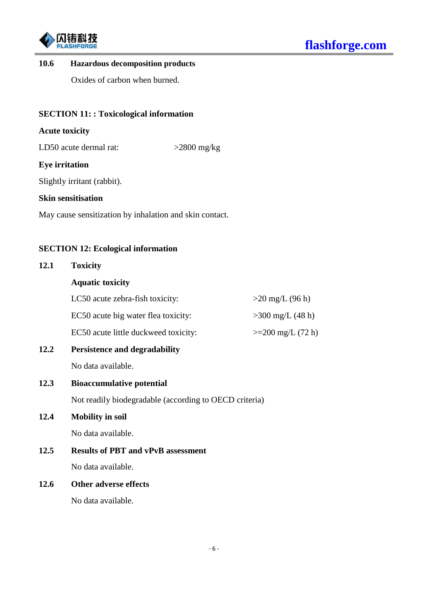

### **10.6 Hazardous decomposition products**

Oxides of carbon when burned.

## **SECTION 11: : Toxicological information**

## **Acute toxicity**

LD50 acute dermal rat:  $>2800$  mg/kg

#### **Eye irritation**

Slightly irritant (rabbit).

#### **Skin sensitisation**

May cause sensitization by inhalation and skin contact.

#### **SECTION 12: Ecological information**

# **12.1 Toxicity**

## **Aquatic toxicity**

| LC50 acute zebra-fish toxicity:      | $>20 \text{ mg/L} (96 \text{ h})$ |
|--------------------------------------|-----------------------------------|
| EC50 acute big water flea toxicity:  | $>300 \text{ mg/L}$ (48 h)        |
| EC50 acute little duckweed toxicity: | $>=200$ mg/L (72 h)               |

# **12.2 Persistence and degradability**

No data available.

## **12.3 Bioaccumulative potential**

Not readily biodegradable (according to OECD criteria)

## **12.4 Mobility in soil**

No data available.

## **12.5 Results of PBT and vPvB assessment**

No data available.

## **12.6 Other adverse effects**

No data available.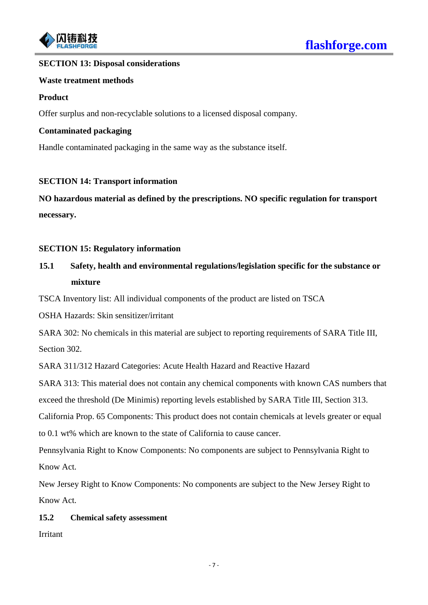

## **SECTION 13: Disposal considerations**

#### **Waste treatment methods**

### **Product**

Offer surplus and non-recyclable solutions to a licensed disposal company.

#### **Contaminated packaging**

Handle contaminated packaging in the same way as the substance itself.

## **SECTION 14: Transport information**

**NO hazardous material as defined by the prescriptions. NO specific regulation for transport necessary.**

#### **SECTION 15: Regulatory information**

# **15.1 Safety, health and environmental regulations/legislation specific for the substance or mixture**

TSCA Inventory list: All individual components of the product are listed on TSCA

OSHA Hazards: Skin sensitizer/irritant

SARA 302: No chemicals in this material are subject to reporting requirements of SARA Title III, Section 302.

SARA 311/312 Hazard Categories: Acute Health Hazard and Reactive Hazard

SARA 313: This material does not contain any chemical components with known CAS numbers that exceed the threshold (De Minimis) reporting levels established by SARA Title III, Section 313.

California Prop. 65 Components: This product does not contain chemicals at levels greater or equal to 0.1 wt% which are known to the state of California to cause cancer.

Pennsylvania Right to Know Components: No components are subject to Pennsylvania Right to Know Act.

New Jersey Right to Know Components: No components are subject to the New Jersey Right to Know Act.

## **15.2 Chemical safety assessment**

Irritant